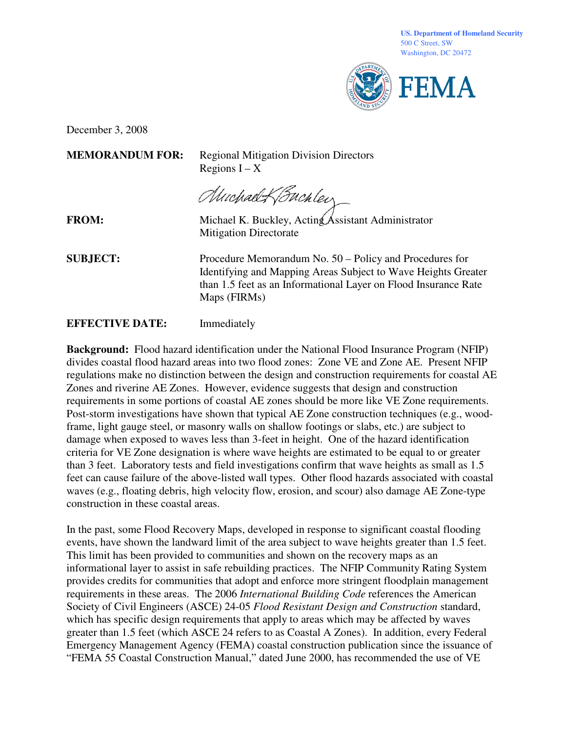**US. Department of Homeland Security** 500 C Street, SW Washington, DC 20472



December 3, 2008

**MEMORANDUM FOR:** Regional Mitigation Division Directors Regions  $I - X$ 

Muchael K Buchley

**FROM:** Michael K. Buckley, Acting Assistant Administrator Mitigation Directorate

**SUBJECT:** Procedure Memorandum No. 50 – Policy and Procedures for Identifying and Mapping Areas Subject to Wave Heights Greater than 1.5 feet as an Informational Layer on Flood Insurance Rate Maps (FIRMs)

#### **EFFECTIVE DATE:** Immediately

**Background:** Flood hazard identification under the National Flood Insurance Program (NFIP) divides coastal flood hazard areas into two flood zones: Zone VE and Zone AE. Present NFIP regulations make no distinction between the design and construction requirements for coastal AE Zones and riverine AE Zones. However, evidence suggests that design and construction requirements in some portions of coastal AE zones should be more like VE Zone requirements. Post-storm investigations have shown that typical AE Zone construction techniques (e.g., woodframe, light gauge steel, or masonry walls on shallow footings or slabs, etc.) are subject to damage when exposed to waves less than 3-feet in height. One of the hazard identification criteria for VE Zone designation is where wave heights are estimated to be equal to or greater than 3 feet. Laboratory tests and field investigations confirm that wave heights as small as 1.5 feet can cause failure of the above-listed wall types. Other flood hazards associated with coastal waves (e.g., floating debris, high velocity flow, erosion, and scour) also damage AE Zone-type construction in these coastal areas.

In the past, some Flood Recovery Maps, developed in response to significant coastal flooding events, have shown the landward limit of the area subject to wave heights greater than 1.5 feet. This limit has been provided to communities and shown on the recovery maps as an informational layer to assist in safe rebuilding practices. The NFIP Community Rating System provides credits for communities that adopt and enforce more stringent floodplain management requirements in these areas. The 2006 *International Building Code* references the American Society of Civil Engineers (ASCE) 24-05 *Flood Resistant Design and Construction* standard, which has specific design requirements that apply to areas which may be affected by waves greater than 1.5 feet (which ASCE 24 refers to as Coastal A Zones). In addition, every Federal Emergency Management Agency (FEMA) coastal construction publication since the issuance of "FEMA 55 Coastal Construction Manual," dated June 2000, has recommended the use of VE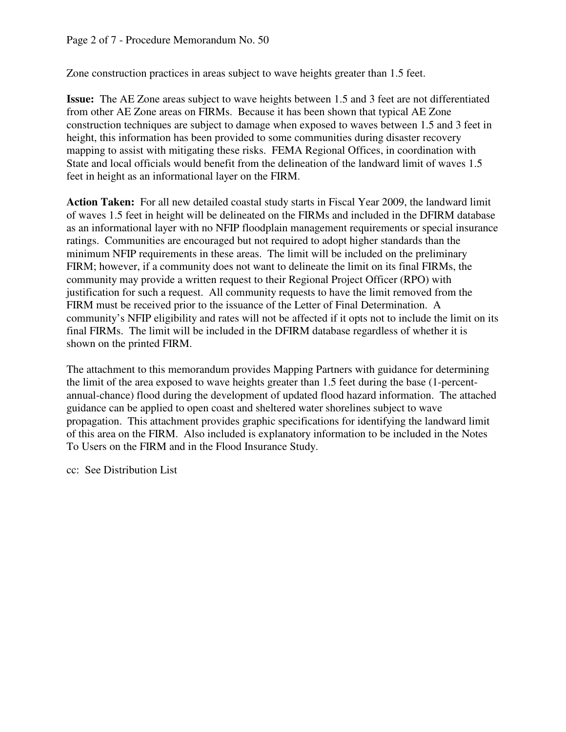Zone construction practices in areas subject to wave heights greater than 1.5 feet.

**Issue:** The AE Zone areas subject to wave heights between 1.5 and 3 feet are not differentiated from other AE Zone areas on FIRMs. Because it has been shown that typical AE Zone construction techniques are subject to damage when exposed to waves between 1.5 and 3 feet in height, this information has been provided to some communities during disaster recovery mapping to assist with mitigating these risks. FEMA Regional Offices, in coordination with State and local officials would benefit from the delineation of the landward limit of waves 1.5 feet in height as an informational layer on the FIRM.

**Action Taken:** For all new detailed coastal study starts in Fiscal Year 2009, the landward limit of waves 1.5 feet in height will be delineated on the FIRMs and included in the DFIRM database as an informational layer with no NFIP floodplain management requirements or special insurance ratings. Communities are encouraged but not required to adopt higher standards than the minimum NFIP requirements in these areas. The limit will be included on the preliminary FIRM; however, if a community does not want to delineate the limit on its final FIRMs, the community may provide a written request to their Regional Project Officer (RPO) with justification for such a request. All community requests to have the limit removed from the FIRM must be received prior to the issuance of the Letter of Final Determination. A community's NFIP eligibility and rates will not be affected if it opts not to include the limit on its final FIRMs. The limit will be included in the DFIRM database regardless of whether it is shown on the printed FIRM.

The attachment to this memorandum provides Mapping Partners with guidance for determining the limit of the area exposed to wave heights greater than 1.5 feet during the base (1-percentannual-chance) flood during the development of updated flood hazard information. The attached guidance can be applied to open coast and sheltered water shorelines subject to wave propagation. This attachment provides graphic specifications for identifying the landward limit of this area on the FIRM. Also included is explanatory information to be included in the Notes To Users on the FIRM and in the Flood Insurance Study.

cc: See Distribution List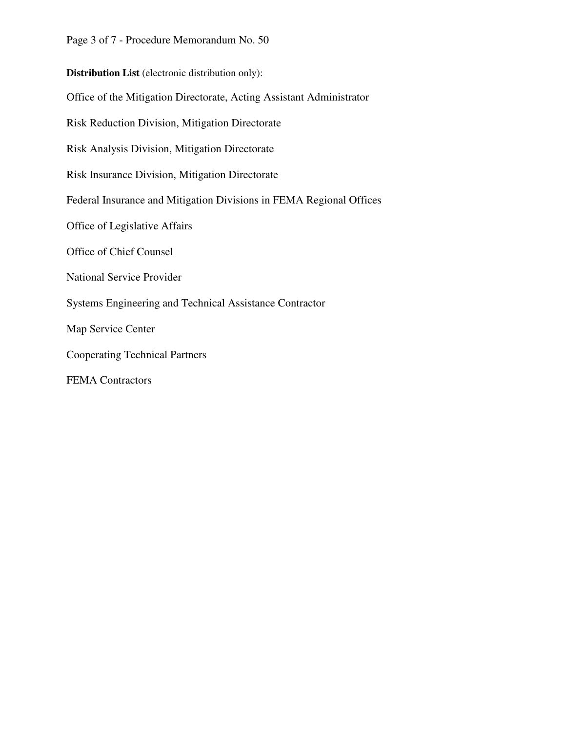Page 3 of 7 - Procedure Memorandum No. 50

**Distribution List** (electronic distribution only):

Office of the Mitigation Directorate, Acting Assistant Administrator

Risk Reduction Division, Mitigation Directorate

Risk Analysis Division, Mitigation Directorate

Risk Insurance Division, Mitigation Directorate

Federal Insurance and Mitigation Divisions in FEMA Regional Offices

Office of Legislative Affairs

Office of Chief Counsel

National Service Provider

Systems Engineering and Technical Assistance Contractor

Map Service Center

Cooperating Technical Partners

FEMA Contractors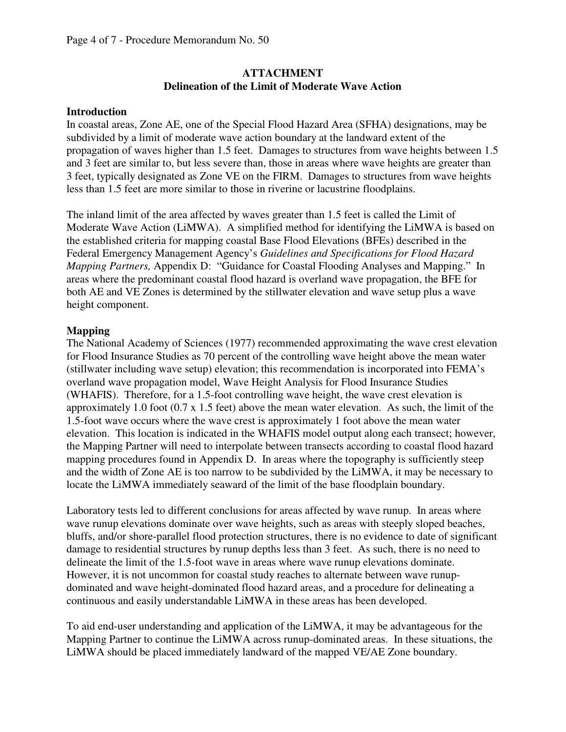## **ATTACHMENT Delineation of the Limit of Moderate Wave Action**

#### **Introduction**

In coastal areas, Zone AE, one of the Special Flood Hazard Area (SFHA) designations, may be subdivided by a limit of moderate wave action boundary at the landward extent of the propagation of waves higher than 1.5 feet. Damages to structures from wave heights between 1.5 and 3 feet are similar to, but less severe than, those in areas where wave heights are greater than 3 feet, typically designated as Zone VE on the FIRM. Damages to structures from wave heights less than 1.5 feet are more similar to those in riverine or lacustrine floodplains.

The inland limit of the area affected by waves greater than 1.5 feet is called the Limit of Moderate Wave Action (LiMWA). A simplified method for identifying the LiMWA is based on the established criteria for mapping coastal Base Flood Elevations (BFEs) described in the Federal Emergency Management Agency's *Guidelines and Specifications for Flood Hazard Mapping Partners,* Appendix D: "Guidance for Coastal Flooding Analyses and Mapping." In areas where the predominant coastal flood hazard is overland wave propagation, the BFE for both AE and VE Zones is determined by the stillwater elevation and wave setup plus a wave height component.

## **Mapping**

The National Academy of Sciences (1977) recommended approximating the wave crest elevation for Flood Insurance Studies as 70 percent of the controlling wave height above the mean water (stillwater including wave setup) elevation; this recommendation is incorporated into FEMA's overland wave propagation model, Wave Height Analysis for Flood Insurance Studies (WHAFIS). Therefore, for a 1.5-foot controlling wave height, the wave crest elevation is approximately 1.0 foot (0.7 x 1.5 feet) above the mean water elevation. As such, the limit of the 1.5-foot wave occurs where the wave crest is approximately 1 foot above the mean water elevation. This location is indicated in the WHAFIS model output along each transect; however, the Mapping Partner will need to interpolate between transects according to coastal flood hazard mapping procedures found in Appendix D. In areas where the topography is sufficiently steep and the width of Zone AE is too narrow to be subdivided by the LiMWA, it may be necessary to locate the LiMWA immediately seaward of the limit of the base floodplain boundary.

Laboratory tests led to different conclusions for areas affected by wave runup. In areas where wave runup elevations dominate over wave heights, such as areas with steeply sloped beaches, bluffs, and/or shore-parallel flood protection structures, there is no evidence to date of significant damage to residential structures by runup depths less than 3 feet. As such, there is no need to delineate the limit of the 1.5-foot wave in areas where wave runup elevations dominate. However, it is not uncommon for coastal study reaches to alternate between wave runupdominated and wave height-dominated flood hazard areas, and a procedure for delineating a continuous and easily understandable LiMWA in these areas has been developed.

To aid end-user understanding and application of the LiMWA, it may be advantageous for the Mapping Partner to continue the LiMWA across runup-dominated areas. In these situations, the LiMWA should be placed immediately landward of the mapped VE/AE Zone boundary.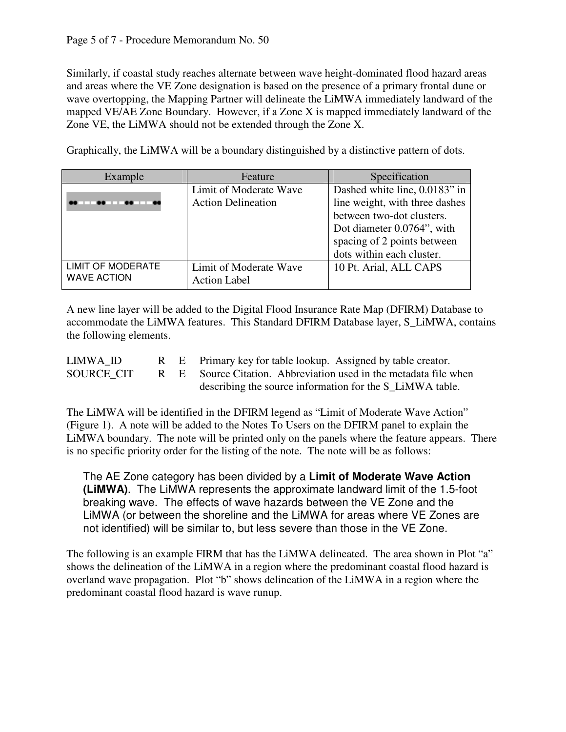Similarly, if coastal study reaches alternate between wave height-dominated flood hazard areas and areas where the VE Zone designation is based on the presence of a primary frontal dune or wave overtopping, the Mapping Partner will delineate the LiMWA immediately landward of the mapped VE/AE Zone Boundary. However, if a Zone X is mapped immediately landward of the Zone VE, the LiMWA should not be extended through the Zone X.

Graphically, the LiMWA will be a boundary distinguished by a distinctive pattern of dots.

| Example                                 | Feature                   | Specification                  |
|-----------------------------------------|---------------------------|--------------------------------|
|                                         | Limit of Moderate Wave    | Dashed white line, 0.0183" in  |
|                                         | <b>Action Delineation</b> | line weight, with three dashes |
|                                         |                           | between two-dot clusters.      |
|                                         |                           | Dot diameter 0.0764", with     |
|                                         |                           | spacing of 2 points between    |
|                                         |                           | dots within each cluster.      |
| LIMIT OF MODERATE<br><b>WAVE ACTION</b> | Limit of Moderate Wave    | 10 Pt. Arial, ALL CAPS         |
|                                         | <b>Action Label</b>       |                                |

A new line layer will be added to the Digital Flood Insurance Rate Map (DFIRM) Database to accommodate the LiMWA features. This Standard DFIRM Database layer, S\_LiMWA, contains the following elements.

LIMWA ID R E Primary key for table lookup. Assigned by table creator. SOURCE CIT R E Source Citation. Abbreviation used in the metadata file when describing the source information for the S\_LiMWA table.

The LiMWA will be identified in the DFIRM legend as "Limit of Moderate Wave Action" (Figure 1). A note will be added to the Notes To Users on the DFIRM panel to explain the LiMWA boundary. The note will be printed only on the panels where the feature appears. There is no specific priority order for the listing of the note. The note will be as follows:

The AE Zone category has been divided by a **Limit of Moderate Wave Action (LiMWA)**. The LiMWA represents the approximate landward limit of the 1.5-foot breaking wave. The effects of wave hazards between the VE Zone and the LiMWA (or between the shoreline and the LiMWA for areas where VE Zones are not identified) will be similar to, but less severe than those in the VE Zone.

The following is an example FIRM that has the LiMWA delineated. The area shown in Plot "a" shows the delineation of the LiMWA in a region where the predominant coastal flood hazard is overland wave propagation. Plot "b" shows delineation of the LiMWA in a region where the predominant coastal flood hazard is wave runup.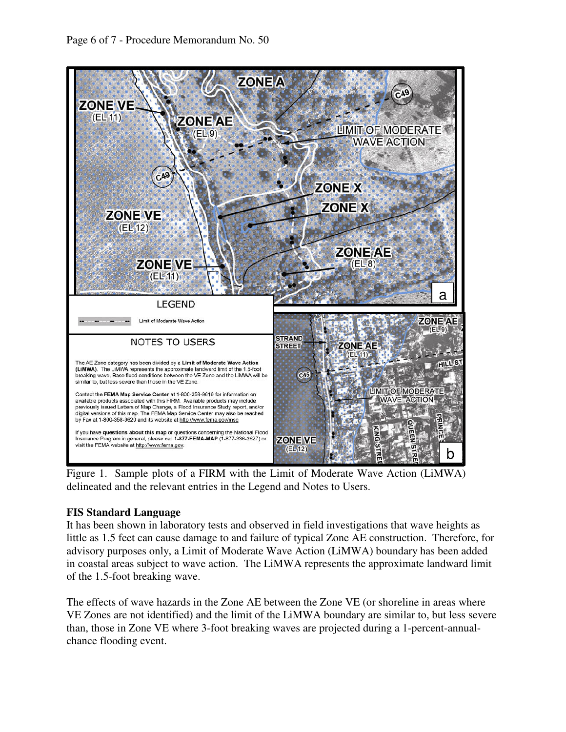

Figure 1. Sample plots of a FIRM with the Limit of Moderate Wave Action (LiMWA) delineated and the relevant entries in the Legend and Notes to Users.

# **FIS Standard Language**

It has been shown in laboratory tests and observed in field investigations that wave heights as little as 1.5 feet can cause damage to and failure of typical Zone AE construction. Therefore, for advisory purposes only, a Limit of Moderate Wave Action (LiMWA) boundary has been added in coastal areas subject to wave action. The LiMWA represents the approximate landward limit of the 1.5-foot breaking wave.

The effects of wave hazards in the Zone AE between the Zone VE (or shoreline in areas where VE Zones are not identified) and the limit of the LiMWA boundary are similar to, but less severe than, those in Zone VE where 3-foot breaking waves are projected during a 1-percent-annualchance flooding event.